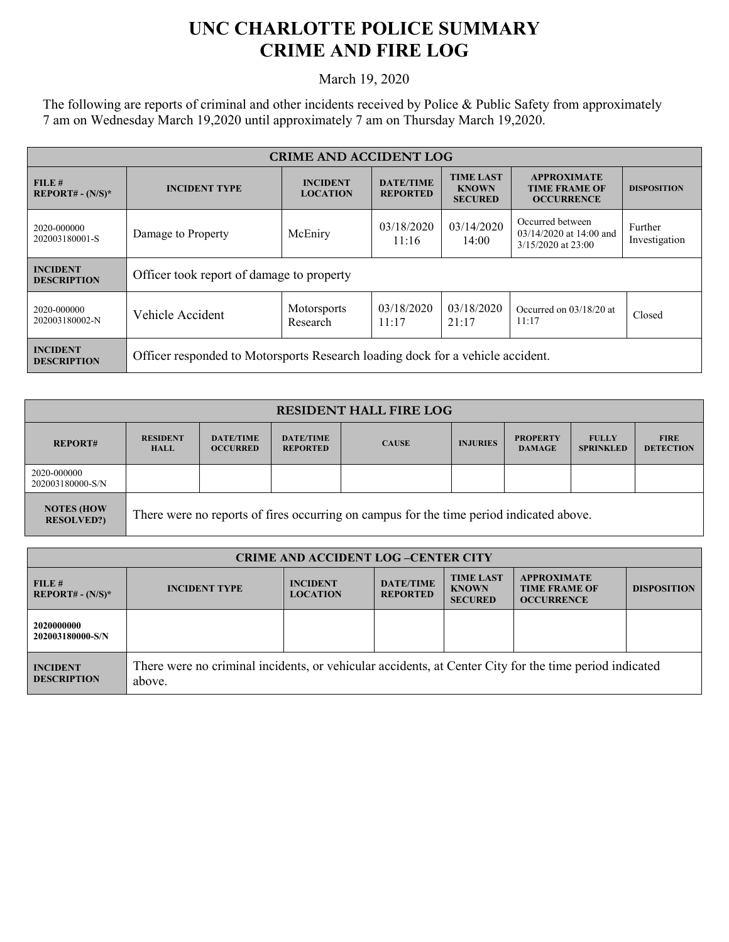## **UNC CHARLOTTE POLICE SUMMARY CRIME AND FIRE LOG**

March 19, 2020

The following are reports of criminal and other incidents received by Police & Public Safety from approximately 7 am on Wednesday March 19,2020 until approximately 7 am on Thursday March 19,2020.

| <b>CRIME AND ACCIDENT LOG</b>         |                                                                                |                                    |                                                                     |                                                    |                                                                 |                    |  |
|---------------------------------------|--------------------------------------------------------------------------------|------------------------------------|---------------------------------------------------------------------|----------------------------------------------------|-----------------------------------------------------------------|--------------------|--|
| FILE#<br>$REPORT# - (N/S)*$           | <b>INCIDENT TYPE</b>                                                           | <b>INCIDENT</b><br><b>LOCATION</b> | <b>DATE/TIME</b><br><b>REPORTED</b>                                 | <b>TIME LAST</b><br><b>KNOWN</b><br><b>SECURED</b> | <b>APPROXIMATE</b><br><b>TIME FRAME OF</b><br><b>OCCURRENCE</b> | <b>DISPOSITION</b> |  |
| 2020-000000<br>202003180001-S         | 03/14/2020<br>03/18/2020<br>McEniry<br>Damage to Property<br>11:16<br>14:00    |                                    | Occurred between<br>$03/14/2020$ at 14:00 and<br>3/15/2020 at 23:00 | Further<br>Investigation                           |                                                                 |                    |  |
| <b>INCIDENT</b><br><b>DESCRIPTION</b> | Officer took report of damage to property                                      |                                    |                                                                     |                                                    |                                                                 |                    |  |
| 2020-000000<br>202003180002-N         | Vehicle Accident                                                               | <b>Motorsports</b><br>Research     | 03/18/2020<br>11:17                                                 | 03/18/2020<br>21:17                                | Occurred on 03/18/20 at<br>11:17                                | Closed             |  |
| <b>INCIDENT</b><br><b>DESCRIPTION</b> | Officer responded to Motorsports Research loading dock for a vehicle accident. |                                    |                                                                     |                                                    |                                                                 |                    |  |

| <b>RESIDENT HALL FIRE LOG</b>           |                                                                                         |                                     |                                     |              |                 |                                  |                                  |                                 |
|-----------------------------------------|-----------------------------------------------------------------------------------------|-------------------------------------|-------------------------------------|--------------|-----------------|----------------------------------|----------------------------------|---------------------------------|
| <b>REPORT#</b>                          | <b>RESIDENT</b><br><b>HALL</b>                                                          | <b>DATE/TIME</b><br><b>OCCURRED</b> | <b>DATE/TIME</b><br><b>REPORTED</b> | <b>CAUSE</b> | <b>INJURIES</b> | <b>PROPERTY</b><br><b>DAMAGE</b> | <b>FULLY</b><br><b>SPRINKLED</b> | <b>FIRE</b><br><b>DETECTION</b> |
| 2020-000000<br>202003180000-S/N         |                                                                                         |                                     |                                     |              |                 |                                  |                                  |                                 |
| <b>NOTES (HOW)</b><br><b>RESOLVED?)</b> | There were no reports of fires occurring on campus for the time period indicated above. |                                     |                                     |              |                 |                                  |                                  |                                 |

| <b>CRIME AND ACCIDENT LOG-CENTER CITY</b> |                                                                                                                  |                                    |                                     |                                                    |                                                                 |                    |
|-------------------------------------------|------------------------------------------------------------------------------------------------------------------|------------------------------------|-------------------------------------|----------------------------------------------------|-----------------------------------------------------------------|--------------------|
| FILE#<br>$REPORT# - (N/S)*$               | <b>INCIDENT TYPE</b>                                                                                             | <b>INCIDENT</b><br><b>LOCATION</b> | <b>DATE/TIME</b><br><b>REPORTED</b> | <b>TIME LAST</b><br><b>KNOWN</b><br><b>SECURED</b> | <b>APPROXIMATE</b><br><b>TIME FRAME OF</b><br><b>OCCURRENCE</b> | <b>DISPOSITION</b> |
| 2020000000<br>202003180000-S/N            |                                                                                                                  |                                    |                                     |                                                    |                                                                 |                    |
| <b>INCIDENT</b><br><b>DESCRIPTION</b>     | There were no criminal incidents, or vehicular accidents, at Center City for the time period indicated<br>above. |                                    |                                     |                                                    |                                                                 |                    |